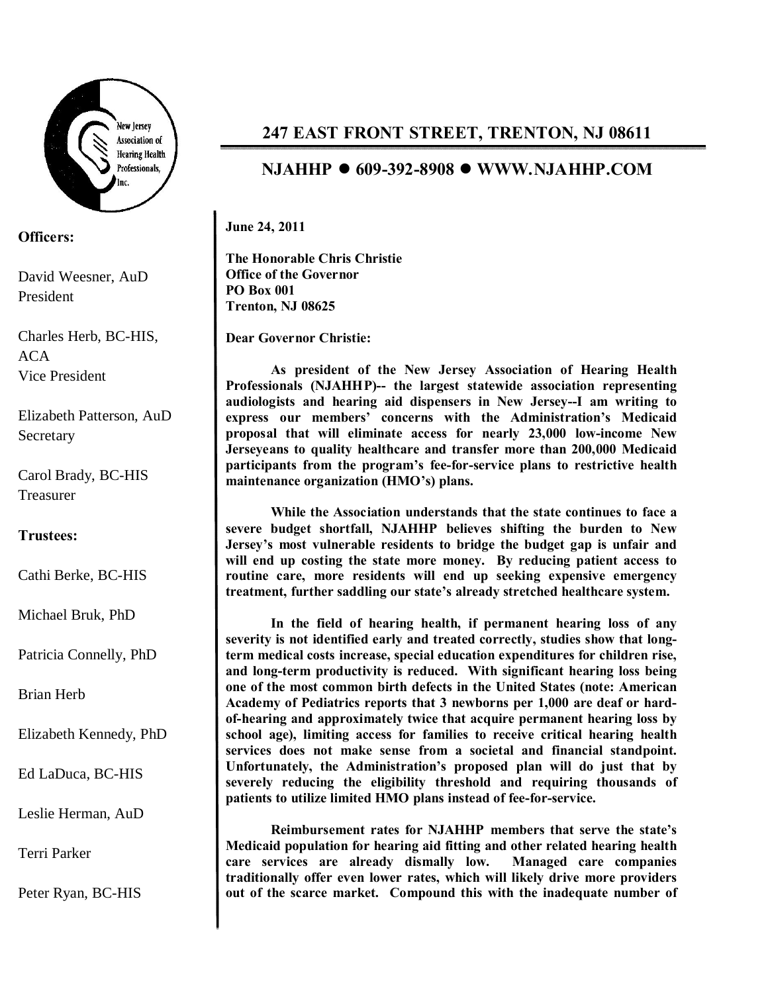

## **Officers:**

David Weesner, AuD President

Charles Herb, BC-HIS, ACA Vice President

Elizabeth Patterson, AuD **Secretary** 

Carol Brady, BC-HIS Treasurer

## **Trustees:**

Cathi Berke, BC-HIS

Michael Bruk, PhD

Patricia Connelly, PhD

Brian Herb

Elizabeth Kennedy, PhD

Ed LaDuca, BC-HIS

Leslie Herman, AuD

Terri Parker

Peter Ryan, BC-HIS

## **247 EAST FRONT STREET, TRENTON, NJ 08611**

## **NJAHHP** l **609-392-8908** l **WWW.NJAHHP.COM**

**June 24, 2011**

**The Honorable Chris Christie Office of the Governor PO Box 001 Trenton, NJ 08625**

**Dear Governor Christie:**

**As president of the New Jersey Association of Hearing Health Professionals (NJAHHP)-- the largest statewide association representing audiologists and hearing aid dispensers in New Jersey--I am writing to express our members' concerns with the Administration's Medicaid proposal that will eliminate access for nearly 23,000 low-income New Jerseyeans to quality healthcare and transfer more than 200,000 Medicaid participants from the program's fee-for-service plans to restrictive health maintenance organization (HMO's) plans.** 

**While the Association understands that the state continues to face a severe budget shortfall, NJAHHP believes shifting the burden to New Jersey's most vulnerable residents to bridge the budget gap is unfair and will end up costing the state more money. By reducing patient access to routine care, more residents will end up seeking expensive emergency treatment, further saddling our state's already stretched healthcare system.**

**In the field of hearing health, if permanent hearing loss of any severity is not identified early and treated correctly, studies show that longterm medical costs increase, special education expenditures for children rise, and long-term productivity is reduced. With significant hearing loss being one of the most common birth defects in the United States (note: American Academy of Pediatrics reports that 3 newborns per 1,000 are deaf or hardof-hearing and approximately twice that acquire permanent hearing loss by school age), limiting access for families to receive critical hearing health services does not make sense from a societal and financial standpoint. Unfortunately, the Administration's proposed plan will do just that by severely reducing the eligibility threshold and requiring thousands of patients to utilize limited HMO plans instead of fee-for-service.**

**Reimbursement rates for NJAHHP members that serve the state's Medicaid population for hearing aid fitting and other related hearing health care services are already dismally low. Managed care companies traditionally offer even lower rates, which will likely drive more providers out of the scarce market. Compound this with the inadequate number of**